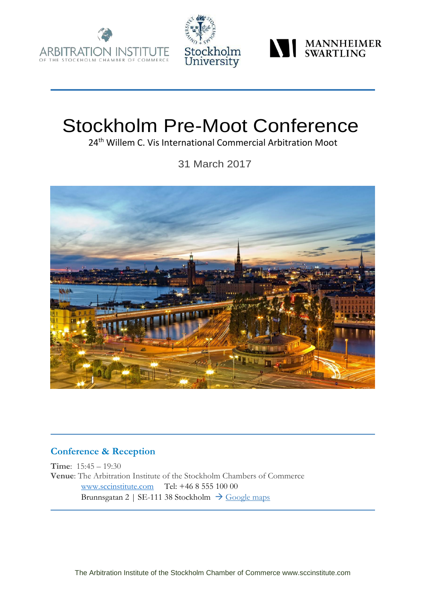





# Stockholm Pre-Moot Conference

24<sup>th</sup> Willem C. Vis International Commercial Arbitration Moot

31 March 2017



### **Conference & Reception**

**Time**: 15:45 – 19:30 **Venue**: The Arbitration Institute of the Stockholm Chambers of Commerce [www.sccinstitute.com](http://www.sccinstitute.com/) Tel: +46 8 555 100 00 Brunnsgatan 2 | SE-111 38 Stockholm  $\rightarrow$  [Google maps](https://www.google.se/maps/place/Brunnsgatan+2,+111+38+Stockholm/@59.3368356,18.0685693,17z/data=!3m1!4b1!4m5!3m4!1s0x465f9d5cc348914b:0x937195f7a45e51b2!8m2!3d59.3368356!4d18.070758)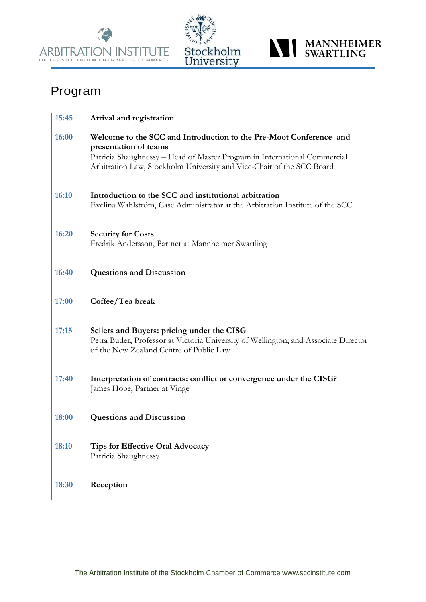





# Program

| 15:45 | Arrival and registration                                                                                                                                                                                                                          |
|-------|---------------------------------------------------------------------------------------------------------------------------------------------------------------------------------------------------------------------------------------------------|
| 16:00 | Welcome to the SCC and Introduction to the Pre-Moot Conference and<br>presentation of teams<br>Patricia Shaughnessy – Head of Master Program in International Commercial<br>Arbitration Law, Stockholm University and Vice-Chair of the SCC Board |
| 16:10 | Introduction to the SCC and institutional arbitration<br>Evelina Wahlström, Case Administrator at the Arbitration Institute of the SCC                                                                                                            |
| 16:20 | <b>Security for Costs</b><br>Fredrik Andersson, Partner at Mannheimer Swartling                                                                                                                                                                   |
| 16:40 | <b>Questions and Discussion</b>                                                                                                                                                                                                                   |
| 17:00 | Coffee/Tea break                                                                                                                                                                                                                                  |
| 17:15 | Sellers and Buyers: pricing under the CISG<br>Petra Butler, Professor at Victoria University of Wellington, and Associate Director<br>of the New Zealand Centre of Public Law                                                                     |
| 17:40 | Interpretation of contracts: conflict or convergence under the CISG?<br>James Hope, Partner at Vinge                                                                                                                                              |
| 18:00 | <b>Questions and Discussion</b>                                                                                                                                                                                                                   |
| 18:10 | <b>Tips for Effective Oral Advocacy</b><br>Patricia Shaughnessy                                                                                                                                                                                   |
| 18:30 | Reception                                                                                                                                                                                                                                         |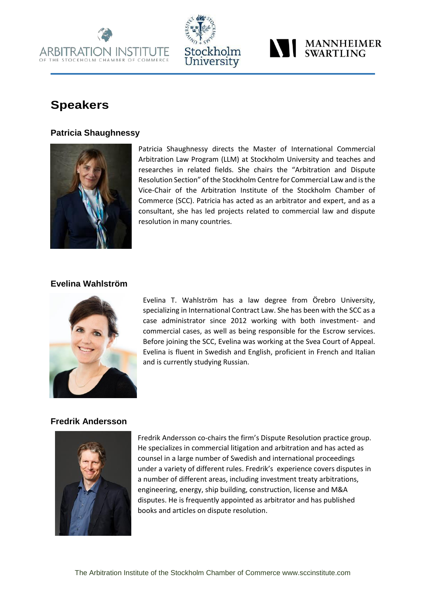



## **MANNHEIMER** WANNHEIM

# **Speakers**

#### **Patricia Shaughnessy**



Patricia Shaughnessy directs the Master of International Commercial Arbitration Law Program (LLM) at Stockholm University and teaches and researches in related fields. She chairs the "Arbitration and Dispute Resolution Section" of the Stockholm Centre for Commercial Law and is the Vice-Chair of the Arbitration Institute of the Stockholm Chamber of Commerce (SCC). Patricia has acted as an arbitrator and expert, and as a consultant, she has led projects related to commercial law and dispute resolution in many countries.

#### **Evelina Wahlström**



Evelina T. Wahlström has a law degree from Örebro University, specializing in International Contract Law. She has been with the SCC as a case administrator since 2012 working with both investment- and commercial cases, as well as being responsible for the Escrow services. Before joining the SCC, Evelina was working at the Svea Court of Appeal. Evelina is fluent in Swedish and English, proficient in French and Italian and is currently studying Russian.

#### **Fredrik Andersson**



Fredrik Andersson co-chairs the firm's Dispute Resolution practice group. He specializes in commercial litigation and arbitration and has acted as counsel in a large number of Swedish and international proceedings under a variety of different rules. Fredrik's experience covers disputes in a number of different areas, including investment treaty arbitrations, engineering, energy, ship building, construction, license and M&A disputes. He is frequently appointed as arbitrator and has published books and articles on dispute resolution.